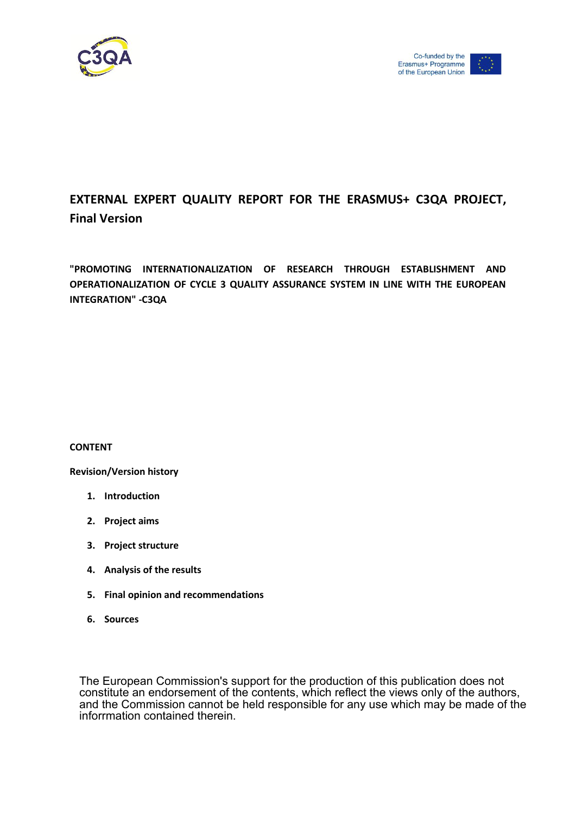

# **EXTERNAL EXPERT QUALITY REPORT FOR THE ERASMUS+ C3QA PROJECT, Final Version**

**"PROMOTING INTERNATIONALIZATION OF RESEARCH THROUGH ESTABLISHMENT AND OPERATIONALIZATION OF CYCLE 3 QUALITY ASSURANCE SYSTEM IN LINE WITH THE EUROPEAN INTEGRATION" -C3QA** 

#### **CONTENT**

**Revision/Version history** 

- **1. Introduction**
- **2. Project aims**
- **3. Project structure**
- **4. Analysis of the results**
- **5. Final opinion and recommendations**
- **6. Sources**

The European Commission's support for the production of this publication does not constitute an endorsement of the contents, which reflect the views only of the authors, and the Commission cannot be held responsible for any use which may be made of the inforrmation contained therein.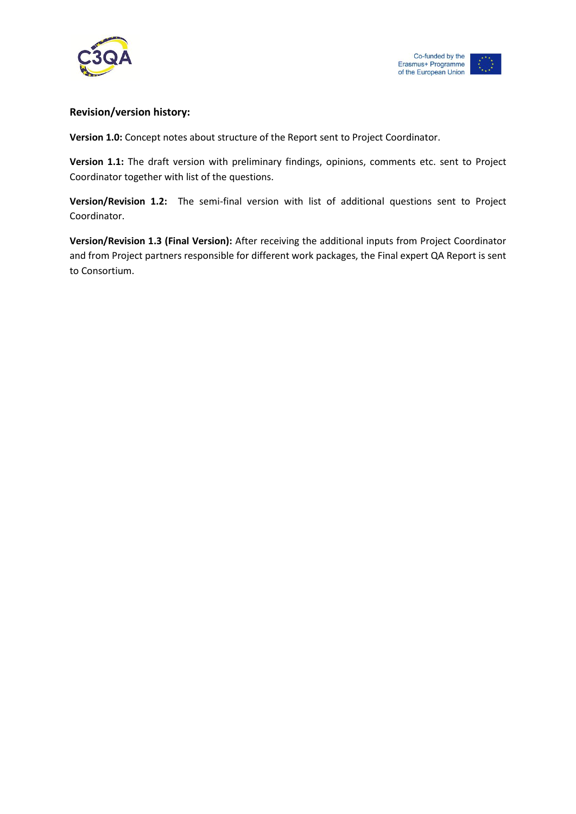



### **Revision/version history:**

**Version 1.0:** Concept notes about structure of the Report sent to Project Coordinator.

**Version 1.1:** The draft version with preliminary findings, opinions, comments etc. sent to Project Coordinator together with list of the questions.

**Version/Revision 1.2:** The semi-final version with list of additional questions sent to Project Coordinator.

**Version/Revision 1.3 (Final Version):** After receiving the additional inputs from Project Coordinator and from Project partners responsible for different work packages, the Final expert QA Report is sent to Consortium.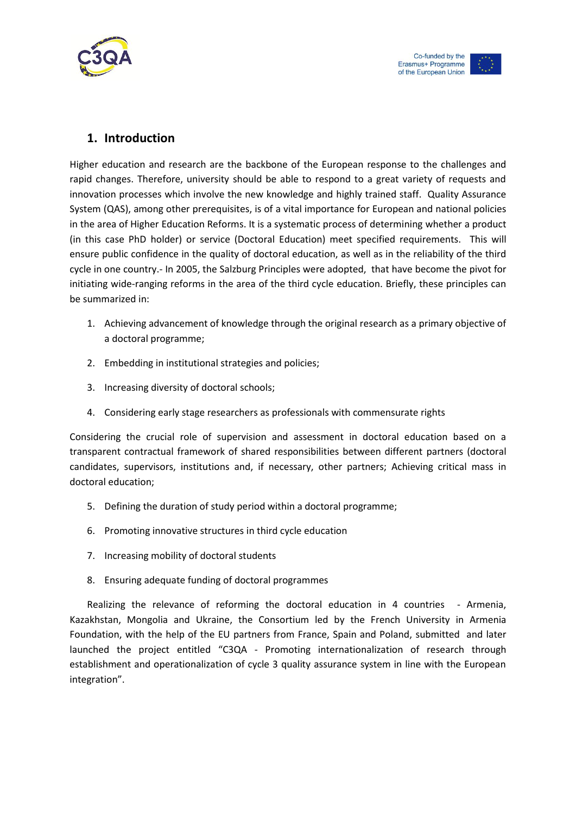

# **1. Introduction**

Higher education and research are the backbone of the European response to the challenges and rapid changes. Therefore, university should be able to respond to a great variety of requests and innovation processes which involve the new knowledge and highly trained staff. Quality Assurance System (QAS), among other prerequisites, is of a vital importance for European and national policies in the area of Higher Education Reforms. It is a systematic process of determining whether a product (in this case PhD holder) or service (Doctoral Education) meet specified requirements. This will ensure public confidence in the quality of doctoral education, as well as in the reliability of the third cycle in one country.- In 2005, the Salzburg Principles were adopted, that have become the pivot for initiating wide-ranging reforms in the area of the third cycle education. Briefly, these principles can be summarized in:

- 1. Achieving advancement of knowledge through the original research as a primary objective of a doctoral programme;
- 2. Embedding in institutional strategies and policies;
- 3. Increasing diversity of doctoral schools;
- 4. Considering early stage researchers as professionals with commensurate rights

Considering the crucial role of supervision and assessment in doctoral education based on a transparent contractual framework of shared responsibilities between different partners (doctoral candidates, supervisors, institutions and, if necessary, other partners; Achieving critical mass in doctoral education;

- 5. Defining the duration of study period within a doctoral programme;
- 6. Promoting innovative structures in third cycle education
- 7. Increasing mobility of doctoral students
- 8. Ensuring adequate funding of doctoral programmes

Realizing the relevance of reforming the doctoral education in 4 countries - Armenia, Kazakhstan, Mongolia and Ukraine, the Consortium led by the French University in Armenia Foundation, with the help of the EU partners from France, Spain and Poland, submitted and later launched the project entitled "C3QA - Promoting internationalization of research through establishment and operationalization of cycle 3 quality assurance system in line with the European integration".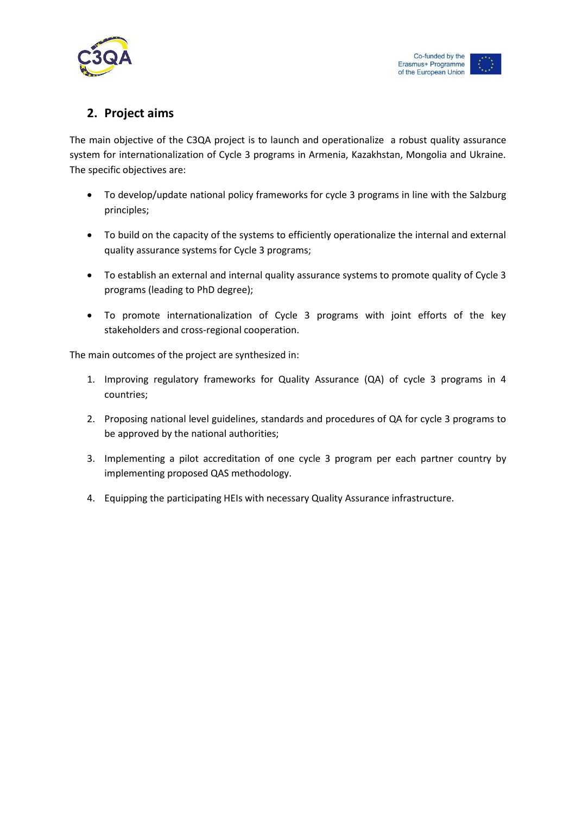

# **2. Project aims**

The main objective of the C3QA project is to launch and operationalize a robust quality assurance system for internationalization of Cycle 3 programs in Armenia, Kazakhstan, Mongolia and Ukraine. The specific objectives are:

- To develop/update national policy frameworks for cycle 3 programs in line with the Salzburg principles;
- To build on the capacity of the systems to efficiently operationalize the internal and external quality assurance systems for Cycle 3 programs;
- To establish an external and internal quality assurance systems to promote quality of Cycle 3 programs (leading to PhD degree);
- To promote internationalization of Cycle 3 programs with joint efforts of the key stakeholders and cross-regional cooperation.

The main outcomes of the project are synthesized in:

- 1. Improving regulatory frameworks for Quality Assurance (QA) of cycle 3 programs in 4 countries;
- 2. Proposing national level guidelines, standards and procedures of QA for cycle 3 programs to be approved by the national authorities;
- 3. Implementing a pilot accreditation of one cycle 3 program per each partner country by implementing proposed QAS methodology.
- 4. Equipping the participating HEIs with necessary Quality Assurance infrastructure.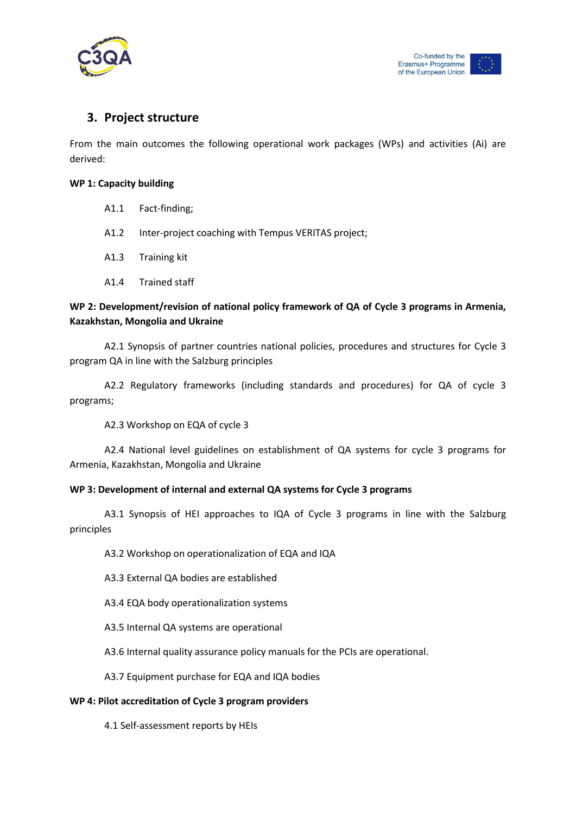

# **3. Project structure**

From the main outcomes the following operational work packages (WPs) and activities (Ai) are derived:

#### **WP 1: Capacity building**

- A1.1 Fact-finding;
- A1.2 Inter-project coaching with Tempus VERITAS project;
- A1.3 Training kit
- A1.4 Trained staff

# **WP 2: Development/revision of national policy framework of QA of Cycle 3 programs in Armenia, Kazakhstan, Mongolia and Ukraine**

A2.1 Synopsis of partner countries national policies, procedures and structures for Cycle 3 program QA in line with the Salzburg principles

A2.2 Regulatory frameworks (including standards and procedures) for QA of cycle 3 programs;

A2.3 Workshop on EQA of cycle 3

A2.4 National level guidelines on establishment of QA systems for cycle 3 programs for Armenia, Kazakhstan, Mongolia and Ukraine

## **WP 3: Development of internal and external QA systems for Cycle 3 programs**

A3.1 Synopsis of HEI approaches to IQA of Cycle 3 programs in line with the Salzburg principles

A3.2 Workshop on operationalization of EQA and IQA

A3.3 External QA bodies are established

A3.4 EQA body operationalization systems

A3.5 Internal QA systems are operational

A3.6 Internal quality assurance policy manuals for the PCIs are operational.

A3.7 Equipment purchase for EQA and IQA bodies

#### **WP 4: Pilot accreditation of Cycle 3 program providers**

4.1 Self-assessment reports by HEIs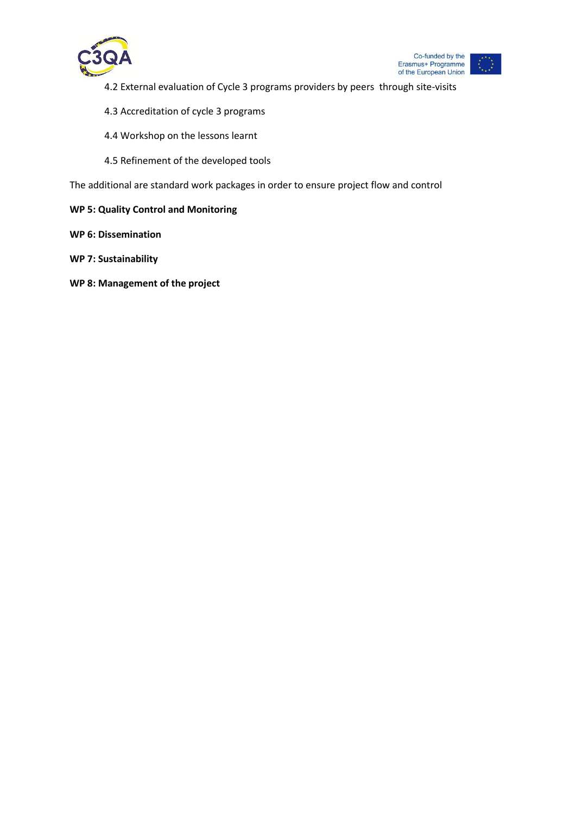

- 4.2 External evaluation of Cycle 3 programs providers by peers through site-visits
- 4.3 Accreditation of cycle 3 programs
- 4.4 Workshop on the lessons learnt
- 4.5 Refinement of the developed tools

The additional are standard work packages in order to ensure project flow and control

- **WP 5: Quality Control and Monitoring**
- **WP 6: Dissemination**
- **WP 7: Sustainability**
- **WP 8: Management of the project**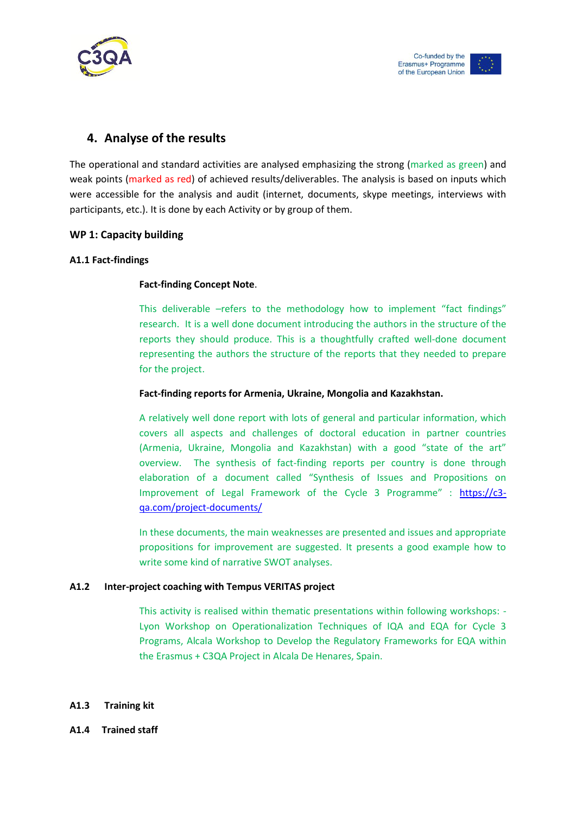

# **4. Analyse of the results**

The operational and standard activities are analysed emphasizing the strong (marked as green) and weak points (marked as red) of achieved results/deliverables. The analysis is based on inputs which were accessible for the analysis and audit (internet, documents, skype meetings, interviews with participants, etc.). It is done by each Activity or by group of them.

## **WP 1: Capacity building**

### **A1.1 Fact-findings**

### **Fact-finding Concept Note**.

This deliverable –refers to the methodology how to implement "fact findings" research. It is a well done document introducing the authors in the structure of the reports they should produce. This is a thoughtfully crafted well-done document representing the authors the structure of the reports that they needed to prepare for the project.

### **Fact-finding reports for Armenia, Ukraine, Mongolia and Kazakhstan.**

A relatively well done report with lots of general and particular information, which covers all aspects and challenges of doctoral education in partner countries (Armenia, Ukraine, Mongolia and Kazakhstan) with a good "state of the art" overview. The synthesis of fact-finding reports per country is done through elaboration of a document called "Synthesis of Issues and Propositions on Improvement of Legal Framework of the Cycle 3 Programme" : [https://c3](https://c3-qa.com/project-documents/) [qa.com/project-documents/](https://c3-qa.com/project-documents/)

In these documents, the main weaknesses are presented and issues and appropriate propositions for improvement are suggested. It presents a good example how to write some kind of narrative SWOT analyses.

#### **A1.2 Inter-project coaching with Tempus VERITAS project**

This activity is realised within thematic presentations within following workshops: - Lyon Workshop on Operationalization Techniques of IQA and EQA for Cycle 3 Programs, Alcala Workshop to Develop the Regulatory Frameworks for EQA within the Erasmus + C3QA Project in Alcala De Henares, Spain.

#### **A1.3 Training kit**

**A1.4 Trained staff**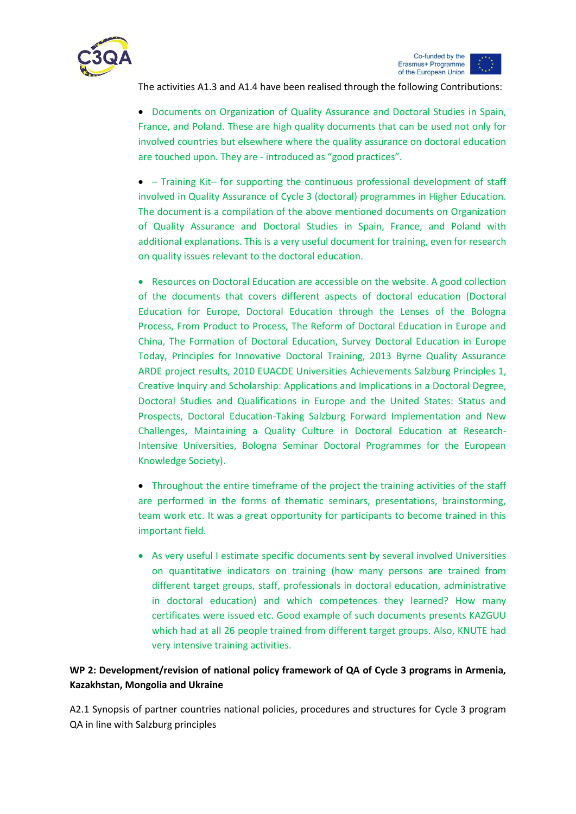

The activities A1.3 and A1.4 have been realised through the following Contributions:

 Documents on Organization of Quality Assurance and Doctoral Studies in Spain, France, and Poland. These are high quality documents that can be used not only for involved countries but elsewhere where the quality assurance on doctoral education are touched upon. They are - introduced as "good practices".

 – Training Kit– for supporting the continuous professional development of staff involved in Quality Assurance of Cycle 3 (doctoral) programmes in Higher Education. The document is a compilation of the above mentioned documents on Organization of Quality Assurance and Doctoral Studies in Spain, France, and Poland with additional explanations. This is a very useful document for training, even for research on quality issues relevant to the doctoral education.

• Resources on Doctoral Education are accessible on the website. A good collection of the documents that covers different aspects of doctoral education (Doctoral Education for Europe, Doctoral Education through the Lenses of the Bologna Process, From Product to Process, The Reform of Doctoral Education in Europe and China, The Formation of Doctoral Education, Survey Doctoral Education in Europe Today, Principles for Innovative Doctoral Training, 2013 Byrne Quality Assurance ARDE project results, 2010 EUACDE Universities Achievements Salzburg Principles 1, Creative Inquiry and Scholarship: Applications and Implications in a Doctoral Degree, Doctoral Studies and Qualifications in Europe and the United States: Status and Prospects, Doctoral Education-Taking Salzburg Forward Implementation and New Challenges, Maintaining a Quality Culture in Doctoral Education at Research-Intensive Universities, Bologna Seminar Doctoral Programmes for the European Knowledge Society).

• Throughout the entire timeframe of the project the training activities of the staff are performed in the forms of thematic seminars, presentations, brainstorming, team work etc. It was a great opportunity for participants to become trained in this important field.

 As very useful I estimate specific documents sent by several involved Universities on quantitative indicators on training (how many persons are trained from different target groups, staff, professionals in doctoral education, administrative in doctoral education) and which competences they learned? How many certificates were issued etc. Good example of such documents presents KAZGUU which had at all 26 people trained from different target groups. Also, KNUTE had very intensive training activities.

# **WP 2: Development/revision of national policy framework of QA of Cycle 3 programs in Armenia, Kazakhstan, Mongolia and Ukraine**

A2.1 Synopsis of partner countries national policies, procedures and structures for Cycle 3 program QA in line with Salzburg principles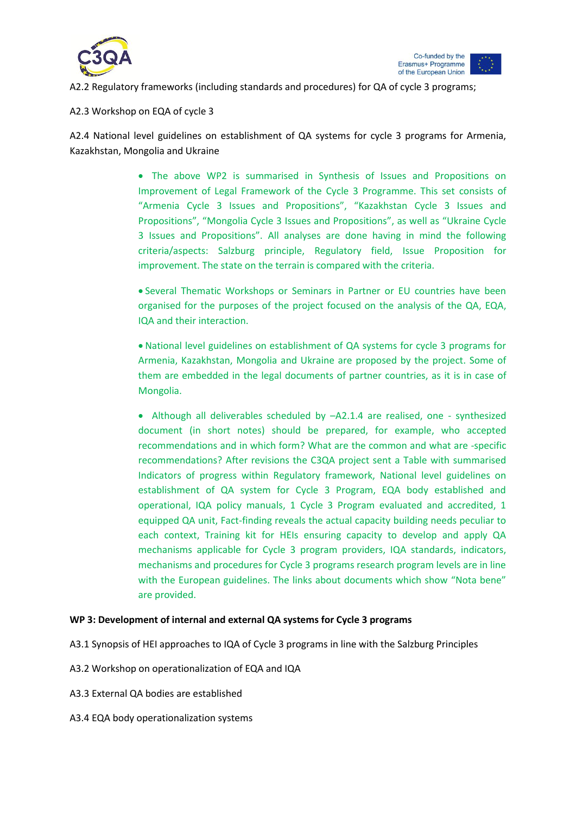



A2.2 Regulatory frameworks (including standards and procedures) for QA of cycle 3 programs;

#### A2.3 Workshop on EQA of cycle 3

A2.4 National level guidelines on establishment of QA systems for cycle 3 programs for Armenia, Kazakhstan, Mongolia and Ukraine

> The above WP2 is summarised in Synthesis of Issues and Propositions on Improvement of Legal Framework of the Cycle 3 Programme. This set consists of "Armenia Cycle 3 Issues and Propositions", "Kazakhstan Cycle 3 Issues and Propositions", "Mongolia Cycle 3 Issues and Propositions", as well as "Ukraine Cycle 3 Issues and Propositions". All analyses are done having in mind the following criteria/aspects: Salzburg principle, Regulatory field, Issue Proposition for improvement. The state on the terrain is compared with the criteria.

> Several Thematic Workshops or Seminars in Partner or EU countries have been organised for the purposes of the project focused on the analysis of the QA, EQA, IQA and their interaction.

> National level guidelines on establishment of QA systems for cycle 3 programs for Armenia, Kazakhstan, Mongolia and Ukraine are proposed by the project. Some of them are embedded in the legal documents of partner countries, as it is in case of Mongolia.

> Although all deliverables scheduled by –A2.1.4 are realised, one - synthesized document (in short notes) should be prepared, for example, who accepted recommendations and in which form? What are the common and what are -specific recommendations? After revisions the C3QA project sent a Table with summarised Indicators of progress within Regulatory framework, National level guidelines on establishment of QA system for Cycle 3 Program, EQA body established and operational, IQA policy manuals, 1 Cycle 3 Program evaluated and accredited, 1 equipped QA unit, Fact-finding reveals the actual capacity building needs peculiar to each context, Training kit for HEIs ensuring capacity to develop and apply QA mechanisms applicable for Cycle 3 program providers, IQA standards, indicators, mechanisms and procedures for Cycle 3 programs research program levels are in line with the European guidelines. The links about documents which show "Nota bene" are provided.

#### **WP 3: Development of internal and external QA systems for Cycle 3 programs**

- A3.1 Synopsis of HEI approaches to IQA of Cycle 3 programs in line with the Salzburg Principles
- A3.2 Workshop on operationalization of EQA and IQA
- A3.3 External QA bodies are established
- A3.4 EQA body operationalization systems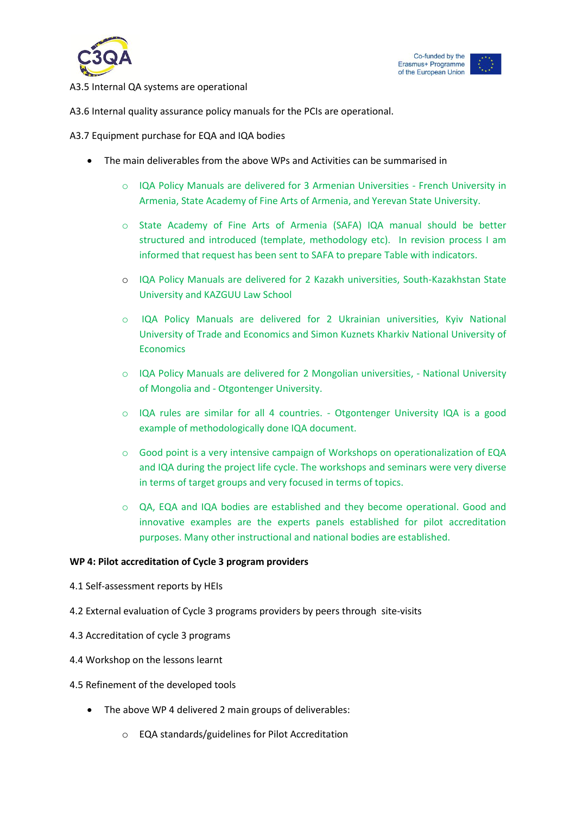

#### A3.5 Internal QA systems are operational

A3.6 Internal quality assurance policy manuals for the PCIs are operational.

A3.7 Equipment purchase for EQA and IQA bodies

- The main deliverables from the above WPs and Activities can be summarised in
	- o IQA Policy Manuals are delivered for 3 Armenian Universities French University in Armenia, State Academy of Fine Arts of Armenia, and Yerevan State University.
	- o State Academy of Fine Arts of Armenia (SAFA) IQA manual should be better structured and introduced (template, methodology etc). In revision process I am informed that request has been sent to SAFA to prepare Table with indicators.
	- o IQA Policy Manuals are delivered for 2 Kazakh universities, South-Kazakhstan State University and KAZGUU Law School
	- o IQA Policy Manuals are delivered for 2 Ukrainian universities, Kyiv National University of Trade and Economics and Simon Kuznets Kharkiv National University of **Economics**
	- o IQA Policy Manuals are delivered for 2 Mongolian universities, National University of Mongolia and - Otgontenger University.
	- o IQA rules are similar for all 4 countries. Otgontenger University IQA is a good example of methodologically done IQA document.
	- $\circ$  Good point is a very intensive campaign of Workshops on operationalization of EQA and IQA during the project life cycle. The workshops and seminars were very diverse in terms of target groups and very focused in terms of topics.
	- o QA, EQA and IQA bodies are established and they become operational. Good and innovative examples are the experts panels established for pilot accreditation purposes. Many other instructional and national bodies are established.

#### **WP 4: Pilot accreditation of Cycle 3 program providers**

- 4.1 Self-assessment reports by HEIs
- 4.2 External evaluation of Cycle 3 programs providers by peers through site-visits
- 4.3 Accreditation of cycle 3 programs
- 4.4 Workshop on the lessons learnt
- 4.5 Refinement of the developed tools
	- The above WP 4 delivered 2 main groups of deliverables:
		- o EQA standards/guidelines for Pilot Accreditation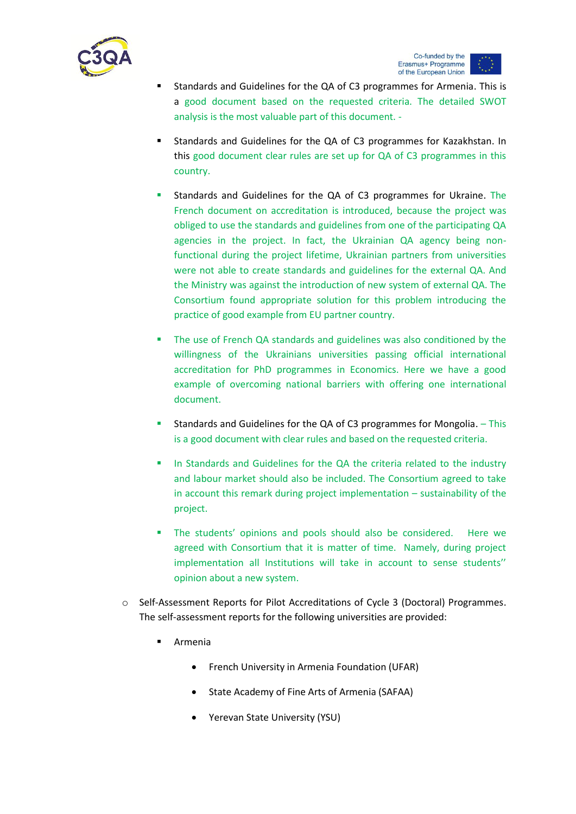

- Standards and Guidelines for the QA of C3 programmes for Armenia. This is a good document based on the requested criteria. The detailed SWOT analysis is the most valuable part of this document. -
- Standards and Guidelines for the QA of C3 programmes for Kazakhstan. In this good document clear rules are set up for QA of C3 programmes in this country.
- Standards and Guidelines for the QA of C3 programmes for Ukraine. The French document on accreditation is introduced, because the project was obliged to use the standards and guidelines from one of the participating QA agencies in the project. In fact, the Ukrainian QA agency being nonfunctional during the project lifetime, Ukrainian partners from universities were not able to create standards and guidelines for the external QA. And the Ministry was against the introduction of new system of external QA. The Consortium found appropriate solution for this problem introducing the practice of good example from EU partner country.
- The use of French QA standards and guidelines was also conditioned by the willingness of the Ukrainians universities passing official international accreditation for PhD programmes in Economics. Here we have a good example of overcoming national barriers with offering one international document.
- Standards and Guidelines for the QA of C3 programmes for Mongolia. This is a good document with clear rules and based on the requested criteria.
- In Standards and Guidelines for the QA the criteria related to the industry and labour market should also be included. The Consortium agreed to take in account this remark during project implementation – sustainability of the project.
- **The students' opinions and pools should also be considered.** Here we agreed with Consortium that it is matter of time. Namely, during project implementation all Institutions will take in account to sense students'' opinion about a new system.
- o Self-Assessment Reports for Pilot Accreditations of Cycle 3 (Doctoral) Programmes. The self-assessment reports for the following universities are provided:
	- Armenia
		- French University in Armenia Foundation (UFAR)
		- State Academy of Fine Arts of Armenia (SAFAA)
		- Yerevan State University (YSU)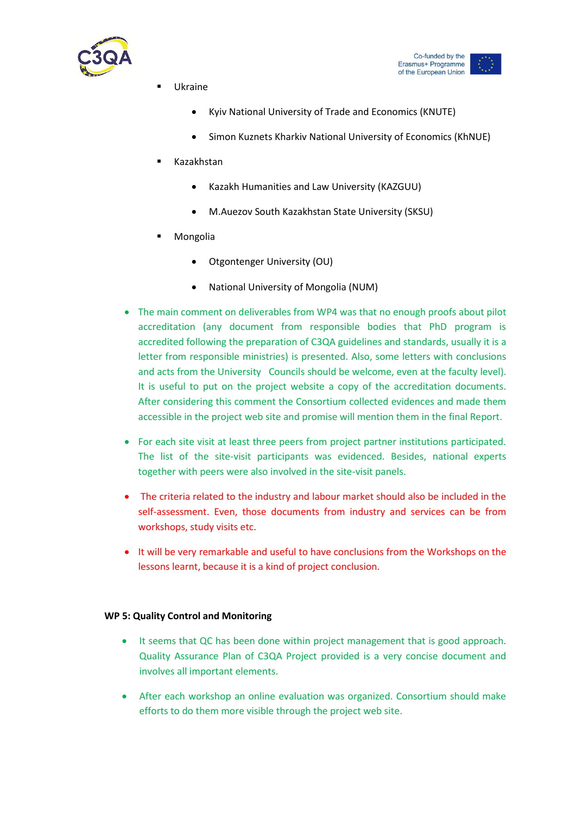



- Ukraine
	- Kyiv National University of Trade and Economics (KNUTE)
	- **•** Simon Kuznets Kharkiv National University of Economics (KhNUE)
- Kazakhstan
	- Kazakh Humanities and Law University (KAZGUU)
	- M.Auezov South Kazakhstan State University (SKSU)
- Mongolia
	- Otgontenger University (OU)
	- National University of Mongolia (NUM)
- The main comment on deliverables from WP4 was that no enough proofs about pilot accreditation (any document from responsible bodies that PhD program is accredited following the preparation of C3QA guidelines and standards, usually it is a letter from responsible ministries) is presented. Also, some letters with conclusions and acts from the University Councils should be welcome, even at the faculty level). It is useful to put on the project website a copy of the accreditation documents. After considering this comment the Consortium collected evidences and made them accessible in the project web site and promise will mention them in the final Report.
- For each site visit at least three peers from project partner institutions participated. The list of the site-visit participants was evidenced. Besides, national experts together with peers were also involved in the site-visit panels.
- The criteria related to the industry and labour market should also be included in the self-assessment. Even, those documents from industry and services can be from workshops, study visits etc.
- It will be very remarkable and useful to have conclusions from the Workshops on the lessons learnt, because it is a kind of project conclusion.

#### **WP 5: Quality Control and Monitoring**

- It seems that QC has been done within project management that is good approach. Quality Assurance Plan of C3QA Project provided is a very concise document and involves all important elements.
- After each workshop an online evaluation was organized. Consortium should make efforts to do them more visible through the project web site.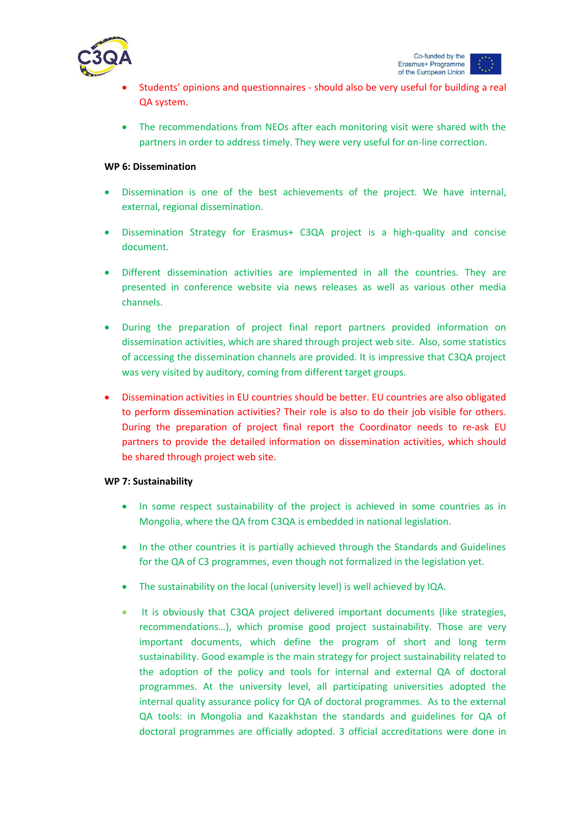

- Students' opinions and questionnaires should also be very useful for building a real QA system.
- The recommendations from NEOs after each monitoring visit were shared with the partners in order to address timely. They were very useful for on-line correction.

### **WP 6: Dissemination**

- Dissemination is one of the best achievements of the project. We have internal, external, regional dissemination.
- Dissemination Strategy for Erasmus+ C3QA project is a high-quality and concise document.
- Different dissemination activities are implemented in all the countries. They are presented in conference website via news releases as well as various other media channels.
- During the preparation of project final report partners provided information on dissemination activities, which are shared through project web site. Also, some statistics of accessing the dissemination channels are provided. It is impressive that C3QA project was very visited by auditory, coming from different target groups.
- Dissemination activities in EU countries should be better. EU countries are also obligated to perform dissemination activities? Their role is also to do their job visible for others. During the preparation of project final report the Coordinator needs to re-ask EU partners to provide the detailed information on dissemination activities, which should be shared through project web site.

#### **WP 7: Sustainability**

- In some respect sustainability of the project is achieved in some countries as in Mongolia, where the QA from C3QA is embedded in national legislation.
- In the other countries it is partially achieved through the Standards and Guidelines for the QA of C3 programmes, even though not formalized in the legislation yet.
- The sustainability on the local (university level) is well achieved by IQA.
- It is obviously that C3QA project delivered important documents (like strategies, recommendations…), which promise good project sustainability. Those are very important documents, which define the program of short and long term sustainability. Good example is the main strategy for project sustainability related to the adoption of the policy and tools for internal and external QA of doctoral programmes. At the university level, all participating universities adopted the internal quality assurance policy for QA of doctoral programmes. As to the external QA tools: in Mongolia and Kazakhstan the standards and guidelines for QA of doctoral programmes are officially adopted. 3 official accreditations were done in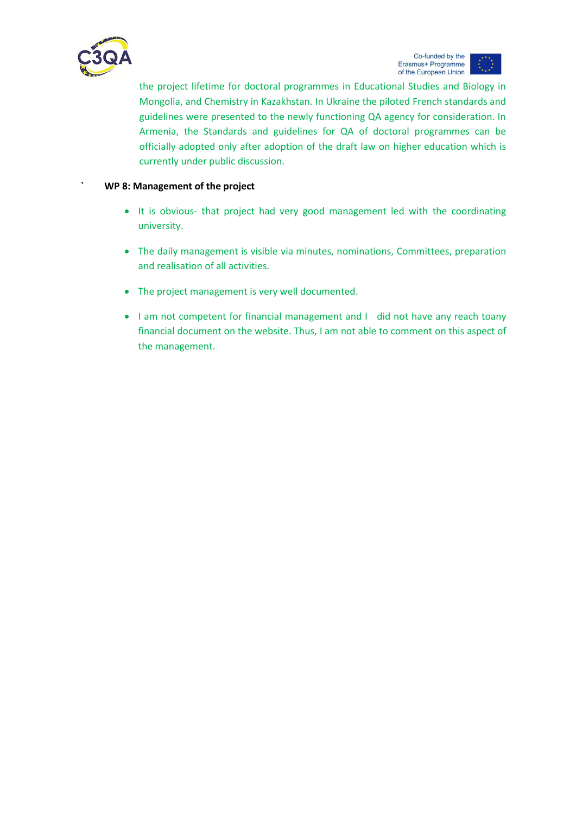

the project lifetime for doctoral programmes in Educational Studies and Biology in Mongolia, and Chemistry in Kazakhstan. In Ukraine the piloted French standards and guidelines were presented to the newly functioning QA agency for consideration. In Armenia, the Standards and guidelines for QA of doctoral programmes can be officially adopted only after adoption of the draft law on higher education which is currently under public discussion.

### **` WP 8: Management of the project**

- It is obvious- that project had very good management led with the coordinating university.
- The daily management is visible via minutes, nominations, Committees, preparation and realisation of all activities.
- The project management is very well documented.
- I am not competent for financial management and I did not have any reach toany financial document on the website. Thus, I am not able to comment on this aspect of the management.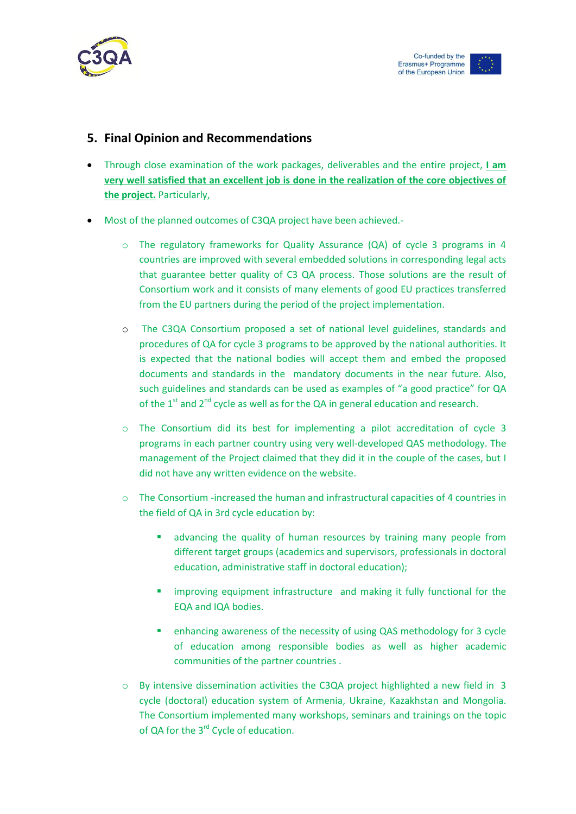

# **5. Final Opinion and Recommendations**

- Through close examination of the work packages, deliverables and the entire project, **I am very well satisfied that an excellent job is done in the realization of the core objectives of the project.** Particularly,
- Most of the planned outcomes of C3QA project have been achieved.
	- o The regulatory frameworks for Quality Assurance (QA) of cycle 3 programs in 4 countries are improved with several embedded solutions in corresponding legal acts that guarantee better quality of C3 QA process. Those solutions are the result of Consortium work and it consists of many elements of good EU practices transferred from the EU partners during the period of the project implementation.
	- o The C3QA Consortium proposed a set of national level guidelines, standards and procedures of QA for cycle 3 programs to be approved by the national authorities. It is expected that the national bodies will accept them and embed the proposed documents and standards in the mandatory documents in the near future. Also, such guidelines and standards can be used as examples of "a good practice" for QA of the  $1<sup>st</sup>$  and  $2<sup>nd</sup>$  cycle as well as for the QA in general education and research.
	- o The Consortium did its best for implementing a pilot accreditation of cycle 3 programs in each partner country using very well-developed QAS methodology. The management of the Project claimed that they did it in the couple of the cases, but I did not have any written evidence on the website.
	- $\circ$  The Consortium -increased the human and infrastructural capacities of 4 countries in the field of QA in 3rd cycle education by:
		- advancing the quality of human resources by training many people from different target groups (academics and supervisors, professionals in doctoral education, administrative staff in doctoral education);
		- **EXT** improving equipment infrastructure and making it fully functional for the EQA and IQA bodies.
		- enhancing awareness of the necessity of using QAS methodology for 3 cycle of education among responsible bodies as well as higher academic communities of the partner countries .
	- $\circ$  By intensive dissemination activities the C3QA project highlighted a new field in 3 cycle (doctoral) education system of Armenia, Ukraine, Kazakhstan and Mongolia. The Consortium implemented many workshops, seminars and trainings on the topic of QA for the 3<sup>rd</sup> Cycle of education.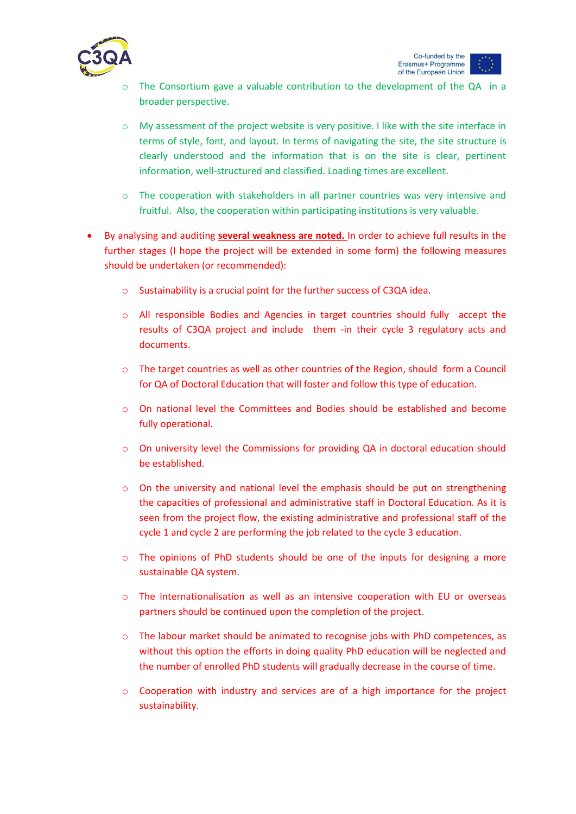

- The Consortium gave a valuable contribution to the development of the QA in a broader perspective.
- o My assessment of the project website is very positive. I like with the site interface in terms of style, font, and layout. In terms of navigating the site, the site structure is clearly understood and the information that is on the site is clear, pertinent information, well-structured and classified. Loading times are excellent.
- o The cooperation with stakeholders in all partner countries was very intensive and fruitful. Also, the cooperation within participating institutions is very valuable.
- By analysing and auditing **several weakness are noted.** In order to achieve full results in the further stages (I hope the project will be extended in some form) the following measures should be undertaken (or recommended):
	- o Sustainability is a crucial point for the further success of C3QA idea.
	- o All responsible Bodies and Agencies in target countries should fully accept the results of C3QA project and include them -in their cycle 3 regulatory acts and documents.
	- o The target countries as well as other countries of the Region, should form a Council for QA of Doctoral Education that will foster and follow this type of education.
	- o On national level the Committees and Bodies should be established and become fully operational.
	- o On university level the Commissions for providing QA in doctoral education should be established.
	- $\circ$  On the university and national level the emphasis should be put on strengthening the capacities of professional and administrative staff in Doctoral Education. As it is seen from the project flow, the existing administrative and professional staff of the cycle 1 and cycle 2 are performing the job related to the cycle 3 education.
	- o The opinions of PhD students should be one of the inputs for designing a more sustainable QA system.
	- o The internationalisation as well as an intensive cooperation with EU or overseas partners should be continued upon the completion of the project.
	- o The labour market should be animated to recognise jobs with PhD competences, as without this option the efforts in doing quality PhD education will be neglected and the number of enrolled PhD students will gradually decrease in the course of time.
	- o Cooperation with industry and services are of a high importance for the project sustainability.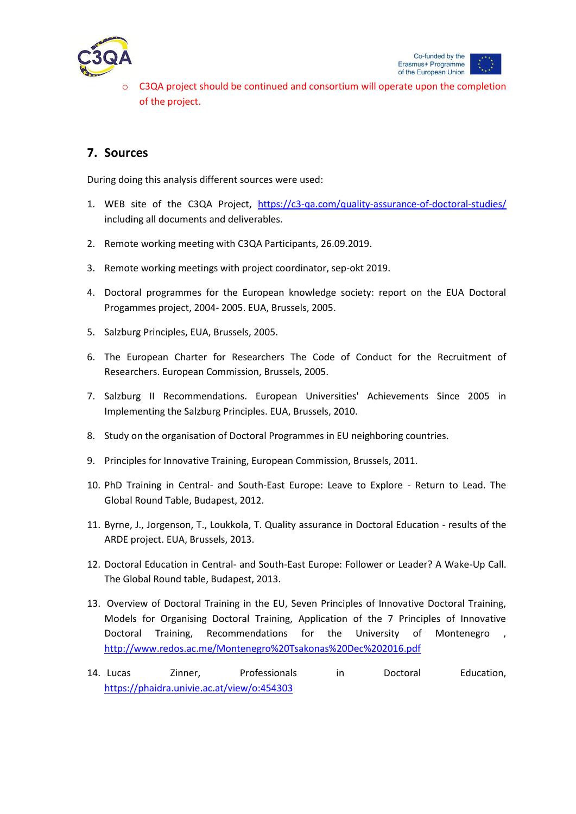

C3QA project should be continued and consortium will operate upon the completion of the project.

# **7. Sources**

During doing this analysis different sources were used:

- 1. WEB site of the C3QA Project, <https://c3-qa.com/quality-assurance-of-doctoral-studies/> including all documents and deliverables.
- 2. Remote working meeting with C3QA Participants, 26.09.2019.
- 3. Remote working meetings with project coordinator, sep-okt 2019.
- 4. Doctoral programmes for the European knowledge society: report on the EUA Doctoral Progammes project, 2004- 2005. EUA, Brussels, 2005.
- 5. Salzburg Principles, EUA, Brussels, 2005.
- 6. The European Charter for Researchers The Code of Conduct for the Recruitment of Researchers. European Commission, Brussels, 2005.
- 7. Salzburg II Recommendations. European Universities' Achievements Since 2005 in Implementing the Salzburg Principles. EUA, Brussels, 2010.
- 8. Study on the organisation of Doctoral Programmes in EU neighboring countries.
- 9. Principles for Innovative Training, European Commission, Brussels, 2011.
- 10. PhD Training in Central- and South-East Europe: Leave to Explore Return to Lead. The Global Round Table, Budapest, 2012.
- 11. Byrne, J., Jorgenson, T., Loukkola, T. Quality assurance in Doctoral Education results of the ARDE project. EUA, Brussels, 2013.
- 12. Doctoral Education in Central- and South-East Europe: Follower or Leader? A Wake-Up Call. The Global Round table, Budapest, 2013.
- 13. Overview of Doctoral Training in the EU, Seven Principles of Innovative Doctoral Training, Models for Organising Doctoral Training, Application of the 7 Principles of Innovative Doctoral Training, Recommendations for the University of Montenegro , <http://www.redos.ac.me/Montenegro%20Tsakonas%20Dec%202016.pdf>
- 14. Lucas Zinner, Professionals in Doctoral Education, <https://phaidra.univie.ac.at/view/o:454303>